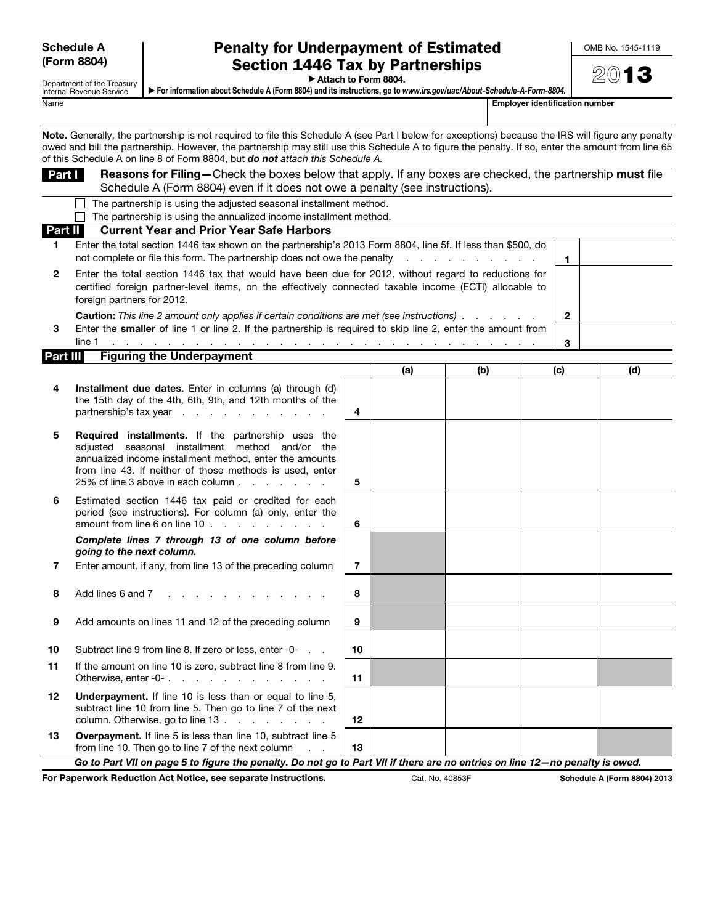## Penalty for Underpayment of Estimated Section 1446 Tax by Partnerships ▶ Attach to Form 8804.

OMB No. 1545-1119

2013

Department of the Treasury Internal Revenue Service

▶ For information about Schedule A (Form 8804) and its instructions, go to *www.irs.gov/uac/About-Schedule-A-Form-8804.* 

Name **Employer identification number**  $\blacksquare$ 

Note. Generally, the partnership is not required to file this Schedule A (see Part I below for exceptions) because the IRS will figure any penalty owed and bill the partnership. However, the partnership may still use this Schedule A to figure the penalty. If so, enter the amount from line 65 of this Schedule A on line 8 of Form 8804, but *do not attach this Schedule A.*

| Part I          | Reasons for Filing-Check the boxes below that apply. If any boxes are checked, the partnership must file<br>Schedule A (Form 8804) even if it does not owe a penalty (see instructions).                                                                                                                                                                                                                                                                                        |                |     |     |  |     |     |  |  |  |
|-----------------|---------------------------------------------------------------------------------------------------------------------------------------------------------------------------------------------------------------------------------------------------------------------------------------------------------------------------------------------------------------------------------------------------------------------------------------------------------------------------------|----------------|-----|-----|--|-----|-----|--|--|--|
|                 | The partnership is using the adjusted seasonal installment method.<br>The partnership is using the annualized income installment method.                                                                                                                                                                                                                                                                                                                                        |                |     |     |  |     |     |  |  |  |
| Part II         | <b>Current Year and Prior Year Safe Harbors</b>                                                                                                                                                                                                                                                                                                                                                                                                                                 |                |     |     |  |     |     |  |  |  |
| 1.              | Enter the total section 1446 tax shown on the partnership's 2013 Form 8804, line 5f. If less than \$500, do<br>not complete or file this form. The partnership does not owe the penalty<br>and a series of the contract of<br>$\mathbf{1}$                                                                                                                                                                                                                                      |                |     |     |  |     |     |  |  |  |
| 2               | Enter the total section 1446 tax that would have been due for 2012, without regard to reductions for<br>certified foreign partner-level items, on the effectively connected taxable income (ECTI) allocable to<br>foreign partners for 2012.                                                                                                                                                                                                                                    |                |     |     |  |     |     |  |  |  |
| З               | $\mathbf{2}$<br><b>Caution:</b> This line 2 amount only applies if certain conditions are met (see instructions)<br>Enter the smaller of line 1 or line 2. If the partnership is required to skip line 2, enter the amount from<br>line 1<br>and a construction of the construction of the construction of the construction of the construction of the construction of the construction of the construction of the construction of the construction of the construction of<br>3 |                |     |     |  |     |     |  |  |  |
| <b>Part III</b> | <b>Figuring the Underpayment</b>                                                                                                                                                                                                                                                                                                                                                                                                                                                |                |     |     |  |     |     |  |  |  |
|                 |                                                                                                                                                                                                                                                                                                                                                                                                                                                                                 |                | (a) | (b) |  | (c) | (d) |  |  |  |
| 4               | Installment due dates. Enter in columns (a) through (d)<br>the 15th day of the 4th, 6th, 9th, and 12th months of the<br>partnership's tax year $\cdots$ $\cdots$ $\cdots$ $\cdots$                                                                                                                                                                                                                                                                                              | 4              |     |     |  |     |     |  |  |  |
| 5               | Required installments. If the partnership uses the<br>adjusted seasonal installment method and/or the<br>annualized income installment method, enter the amounts<br>from line 43. If neither of those methods is used, enter<br>25% of line 3 above in each column                                                                                                                                                                                                              | 5              |     |     |  |     |     |  |  |  |
| 6               | Estimated section 1446 tax paid or credited for each<br>period (see instructions). For column (a) only, enter the<br>amount from line 6 on line 10 $\ldots$ $\ldots$ $\ldots$ $\ldots$                                                                                                                                                                                                                                                                                          | 6              |     |     |  |     |     |  |  |  |
|                 | Complete lines 7 through 13 of one column before<br>going to the next column.                                                                                                                                                                                                                                                                                                                                                                                                   |                |     |     |  |     |     |  |  |  |
| 7               | Enter amount, if any, from line 13 of the preceding column                                                                                                                                                                                                                                                                                                                                                                                                                      | $\overline{7}$ |     |     |  |     |     |  |  |  |
| 8               | Add lines 6 and 7<br>$\mathbf{r}$                                                                                                                                                                                                                                                                                                                                                                                                                                               | 8              |     |     |  |     |     |  |  |  |
| 9               | Add amounts on lines 11 and 12 of the preceding column                                                                                                                                                                                                                                                                                                                                                                                                                          | 9              |     |     |  |     |     |  |  |  |
| 10              | Subtract line 9 from line 8. If zero or less, enter -0-                                                                                                                                                                                                                                                                                                                                                                                                                         | 10             |     |     |  |     |     |  |  |  |
| 11              | If the amount on line 10 is zero, subtract line 8 from line 9.                                                                                                                                                                                                                                                                                                                                                                                                                  | 11             |     |     |  |     |     |  |  |  |
| 12              | Underpayment. If line 10 is less than or equal to line 5,<br>subtract line 10 from line 5. Then go to line 7 of the next<br>column. Otherwise, go to line $13 \cdot \cdot \cdot \cdot \cdot \cdot \cdot$                                                                                                                                                                                                                                                                        | 12             |     |     |  |     |     |  |  |  |
| 13              | Overpayment. If line 5 is less than line 10, subtract line 5<br>from line 10. Then go to line 7 of the next column<br>$\sim 100$ km s $^{-1}$                                                                                                                                                                                                                                                                                                                                   | 13             |     |     |  |     |     |  |  |  |
|                 | Go to Part VII on page 5 to figure the penalty. Do not go to Part VII if there are no entries on line 12-no penalty is owed.                                                                                                                                                                                                                                                                                                                                                    |                |     |     |  |     |     |  |  |  |

For Paperwork Reduction Act Notice, see separate instructions. Cat. No. 40853F Schedule A (Form 8804) 2013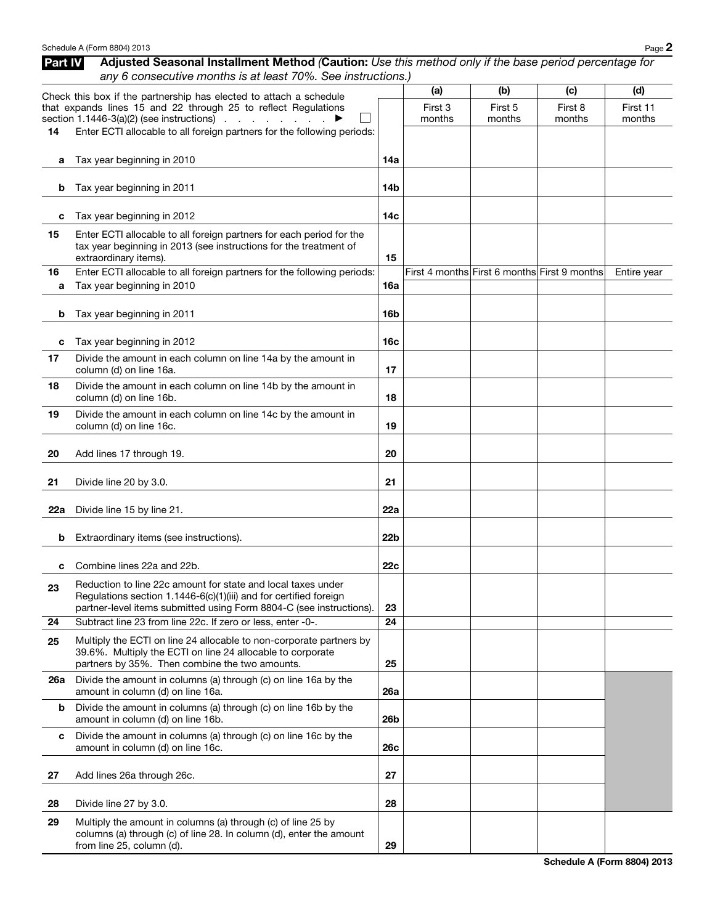|                | Schedule A (Form 8804) 2013                                                                                                                                                                              |                 |                          |                          |                                              | Page 2                    |
|----------------|----------------------------------------------------------------------------------------------------------------------------------------------------------------------------------------------------------|-----------------|--------------------------|--------------------------|----------------------------------------------|---------------------------|
| <b>Part IV</b> | Adjusted Seasonal Installment Method (Caution: Use this method only if the base period percentage for<br>any 6 consecutive months is at least 70%. See instructions.)                                    |                 |                          |                          |                                              |                           |
|                | Check this box if the partnership has elected to attach a schedule<br>that expands lines 15 and 22 through 25 to reflect Regulations<br>section $1.1446-3(a)(2)$ (see instructions) $\ldots$             |                 | (a)<br>First 3<br>months | (b)<br>First 5<br>months | (c)<br>First 8<br>months                     | (d)<br>First 11<br>months |
| 14             | Enter ECTI allocable to all foreign partners for the following periods:                                                                                                                                  |                 |                          |                          |                                              |                           |
| а              | Tax year beginning in 2010                                                                                                                                                                               | 14a             |                          |                          |                                              |                           |
| b              | Tax year beginning in 2011                                                                                                                                                                               | 14b             |                          |                          |                                              |                           |
| c              | Tax year beginning in 2012                                                                                                                                                                               | 14c             |                          |                          |                                              |                           |
| 15             | Enter ECTI allocable to all foreign partners for each period for the<br>tax year beginning in 2013 (see instructions for the treatment of<br>extraordinary items).                                       | 15              |                          |                          |                                              |                           |
| 16<br>a        | Enter ECTI allocable to all foreign partners for the following periods:<br>Tax year beginning in 2010                                                                                                    | 16a             |                          |                          | First 4 months First 6 months First 9 months | Entire year               |
|                |                                                                                                                                                                                                          |                 |                          |                          |                                              |                           |
| b              | Tax year beginning in 2011                                                                                                                                                                               | 16b             |                          |                          |                                              |                           |
| c              | Tax year beginning in 2012                                                                                                                                                                               | 16c             |                          |                          |                                              |                           |
| 17             | Divide the amount in each column on line 14a by the amount in<br>column (d) on line 16a.                                                                                                                 | 17              |                          |                          |                                              |                           |
| 18             | Divide the amount in each column on line 14b by the amount in<br>column (d) on line 16b.                                                                                                                 | 18              |                          |                          |                                              |                           |
| 19             | Divide the amount in each column on line 14c by the amount in<br>column (d) on line 16c.                                                                                                                 | 19              |                          |                          |                                              |                           |
| 20             | Add lines 17 through 19.                                                                                                                                                                                 | 20              |                          |                          |                                              |                           |
| 21             | Divide line 20 by 3.0.                                                                                                                                                                                   | 21              |                          |                          |                                              |                           |
| 22a            | Divide line 15 by line 21.                                                                                                                                                                               | 22a             |                          |                          |                                              |                           |
| b              | Extraordinary items (see instructions).                                                                                                                                                                  | 22 <sub>b</sub> |                          |                          |                                              |                           |
| c              | Combine lines 22a and 22b.                                                                                                                                                                               | 22c             |                          |                          |                                              |                           |
| 23             | Reduction to line 22c amount for state and local taxes under<br>Regulations section 1.1446-6(c)(1)(iii) and for certified foreign<br>partner-level items submitted using Form 8804-C (see instructions). | 23              |                          |                          |                                              |                           |
| 24             | Subtract line 23 from line 22c. If zero or less, enter -0-.                                                                                                                                              | 24              |                          |                          |                                              |                           |
| 25             | Multiply the ECTI on line 24 allocable to non-corporate partners by<br>39.6%. Multiply the ECTI on line 24 allocable to corporate<br>partners by 35%. Then combine the two amounts.                      | 25              |                          |                          |                                              |                           |
| 26a            | Divide the amount in columns (a) through (c) on line 16a by the<br>amount in column (d) on line 16a.                                                                                                     | 26a             |                          |                          |                                              |                           |
| b              | Divide the amount in columns (a) through (c) on line 16b by the<br>amount in column (d) on line 16b.                                                                                                     | 26 <sub>b</sub> |                          |                          |                                              |                           |
| c              | Divide the amount in columns (a) through (c) on line 16c by the<br>amount in column (d) on line 16c.                                                                                                     | 26c             |                          |                          |                                              |                           |
| 27             | Add lines 26a through 26c.                                                                                                                                                                               | 27              |                          |                          |                                              |                           |
| 28             | Divide line 27 by 3.0.                                                                                                                                                                                   | 28              |                          |                          |                                              |                           |
| 29             | Multiply the amount in columns (a) through (c) of line 25 by<br>columns (a) through (c) of line 28. In column (d), enter the amount<br>from line 25, column (d).                                         | 29              |                          |                          |                                              |                           |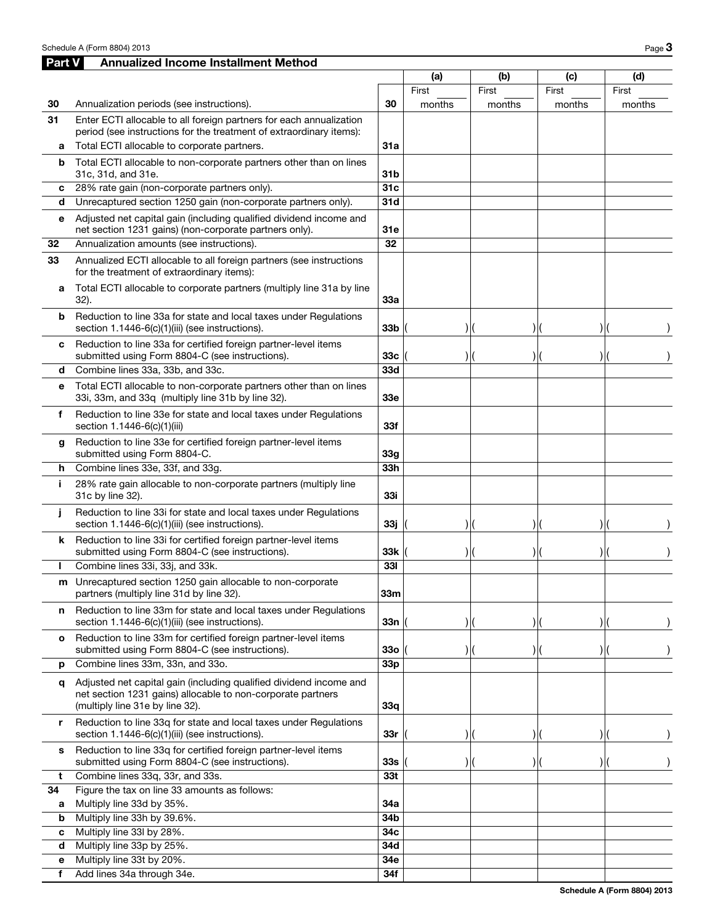Schedule A (Form 8804) 2013 Page 3

## Part V Annualized Income Installment Method

|              |                                                                                                                                                                      |                 | (a)           | (b)    | (c)    | (d)    |
|--------------|----------------------------------------------------------------------------------------------------------------------------------------------------------------------|-----------------|---------------|--------|--------|--------|
|              |                                                                                                                                                                      |                 | First         | First  | First  | First  |
| 30           | Annualization periods (see instructions).                                                                                                                            | 30              | months        | months | months | months |
| 31           | Enter ECTI allocable to all foreign partners for each annualization<br>period (see instructions for the treatment of extraordinary items):                           |                 |               |        |        |        |
| а            | Total ECTI allocable to corporate partners.                                                                                                                          | 31a             |               |        |        |        |
| b            | Total ECTI allocable to non-corporate partners other than on lines<br>31c, 31d, and 31e.                                                                             | 31 <sub>b</sub> |               |        |        |        |
| c            | 28% rate gain (non-corporate partners only).                                                                                                                         | 31 <sub>c</sub> |               |        |        |        |
| d            | Unrecaptured section 1250 gain (non-corporate partners only).                                                                                                        | 31d             |               |        |        |        |
| е            | Adjusted net capital gain (including qualified dividend income and<br>net section 1231 gains) (non-corporate partners only).                                         | 31e             |               |        |        |        |
| 32           | Annualization amounts (see instructions).                                                                                                                            | 32              |               |        |        |        |
| 33           | Annualized ECTI allocable to all foreign partners (see instructions<br>for the treatment of extraordinary items):                                                    |                 |               |        |        |        |
| а            | Total ECTI allocable to corporate partners (multiply line 31a by line<br>$32$ ).                                                                                     | 33а             |               |        |        |        |
| b            | Reduction to line 33a for state and local taxes under Regulations<br>section 1.1446-6(c)(1)(iii) (see instructions).                                                 | 33b             |               |        |        |        |
| с            | Reduction to line 33a for certified foreign partner-level items<br>submitted using Form 8804-C (see instructions).                                                   | 33c             |               |        |        |        |
| d            | Combine lines 33a, 33b, and 33c.                                                                                                                                     | 33d             |               |        |        |        |
| е            | Total ECTI allocable to non-corporate partners other than on lines<br>33i, 33m, and 33q (multiply line 31b by line 32).                                              | <b>33e</b>      |               |        |        |        |
| f            | Reduction to line 33e for state and local taxes under Regulations<br>section 1.1446-6(c)(1)(iii)                                                                     | 33f             |               |        |        |        |
| g            | Reduction to line 33e for certified foreign partner-level items<br>submitted using Form 8804-C.                                                                      | 33 <sub>g</sub> |               |        |        |        |
| h            | Combine lines 33e, 33f, and 33g.                                                                                                                                     | 33h             |               |        |        |        |
| j.           | 28% rate gain allocable to non-corporate partners (multiply line<br>31c by line 32).                                                                                 | 33i             |               |        |        |        |
| j            | Reduction to line 33i for state and local taxes under Regulations<br>section 1.1446-6(c)(1)(iii) (see instructions).                                                 | 33j             |               |        |        |        |
| k.           | Reduction to line 33i for certified foreign partner-level items<br>submitted using Form 8804-C (see instructions).                                                   | 33k             |               |        |        |        |
| L.           | Combine lines 33i, 33j, and 33k.                                                                                                                                     | 331             |               |        |        |        |
|              | m Unrecaptured section 1250 gain allocable to non-corporate<br>partners (multiply line 31d by line 32).                                                              | 33m             |               |        |        |        |
| n            | Reduction to line 33m for state and local taxes under Regulations<br>section 1.1446-6(c)(1)(iii) (see instructions).                                                 | 33n             |               |        |        |        |
| $\mathbf{o}$ | Reduction to line 33m for certified foreign partner-level items<br>submitted using Form 8804-C (see instructions).                                                   | 33 <sub>o</sub> | )  (          |        |        |        |
| р            | Combine lines 33m, 33n, and 33o.                                                                                                                                     | 33p             |               |        |        |        |
| q            | Adjusted net capital gain (including qualified dividend income and<br>net section 1231 gains) allocable to non-corporate partners<br>(multiply line 31e by line 32). | 33q             |               |        |        |        |
| r            | Reduction to line 33q for state and local taxes under Regulations<br>section 1.1446-6(c)(1)(iii) (see instructions).                                                 | 33r             |               |        |        |        |
| s            | Reduction to line 33q for certified foreign partner-level items<br>submitted using Form 8804-C (see instructions).                                                   | 33s             | $\frac{1}{2}$ |        |        |        |
| t            | Combine lines 33q, 33r, and 33s.                                                                                                                                     | 33 <sub>t</sub> |               |        |        |        |
| 34           | Figure the tax on line 33 amounts as follows:                                                                                                                        |                 |               |        |        |        |
| a            | Multiply line 33d by 35%.                                                                                                                                            | 34a             |               |        |        |        |
| b            | Multiply line 33h by 39.6%.                                                                                                                                          | 34b             |               |        |        |        |
| c            | Multiply line 33l by 28%.                                                                                                                                            | 34c             |               |        |        |        |
| d            | Multiply line 33p by 25%.                                                                                                                                            | 34d             |               |        |        |        |
| е            | Multiply line 33t by 20%.                                                                                                                                            | 34e             |               |        |        |        |
| f            | Add lines 34a through 34e.                                                                                                                                           | 34f             |               |        |        |        |

Schedule A (Form 8804) 2013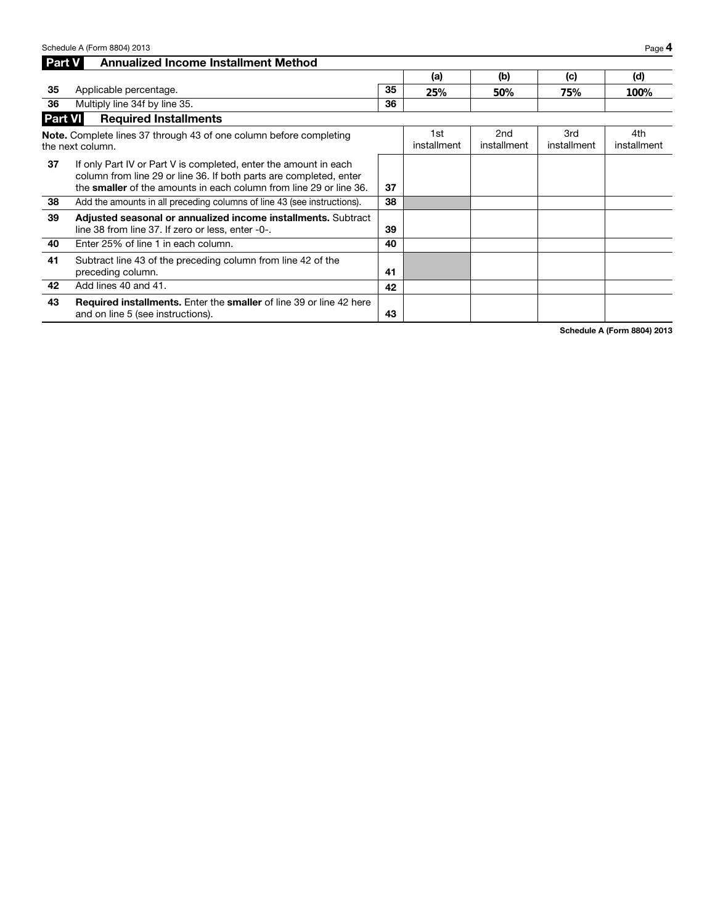Schedule A (Form 8804) 2013 Page 4

| <b>Annualized Income Installment Method</b><br><b>Part V</b> |                                                                                                                                                                                                              |    |                    |                                |                    |                    |  |
|--------------------------------------------------------------|--------------------------------------------------------------------------------------------------------------------------------------------------------------------------------------------------------------|----|--------------------|--------------------------------|--------------------|--------------------|--|
|                                                              |                                                                                                                                                                                                              |    | (a)                | (b)                            | (c)                | (d)                |  |
| 35                                                           | Applicable percentage.                                                                                                                                                                                       | 35 | 25%                | 50%                            | 75%                | 100%               |  |
| 36                                                           | Multiply line 34f by line 35.                                                                                                                                                                                | 36 |                    |                                |                    |                    |  |
| <b>Part VI</b>                                               | <b>Required Installments</b>                                                                                                                                                                                 |    |                    |                                |                    |                    |  |
|                                                              | <b>Note.</b> Complete lines 37 through 43 of one column before completing<br>the next column.                                                                                                                |    | 1st<br>installment | 2 <sub>nd</sub><br>installment | 3rd<br>installment | 4th<br>installment |  |
| 37                                                           | If only Part IV or Part V is completed, enter the amount in each<br>column from line 29 or line 36. If both parts are completed, enter<br>the smaller of the amounts in each column from line 29 or line 36. | 37 |                    |                                |                    |                    |  |
| 38                                                           | Add the amounts in all preceding columns of line 43 (see instructions).                                                                                                                                      | 38 |                    |                                |                    |                    |  |
| 39                                                           | Adjusted seasonal or annualized income installments. Subtract<br>line 38 from line 37. If zero or less, enter -0-.                                                                                           | 39 |                    |                                |                    |                    |  |
| 40                                                           | Enter 25% of line 1 in each column.                                                                                                                                                                          | 40 |                    |                                |                    |                    |  |
| 41                                                           | Subtract line 43 of the preceding column from line 42 of the<br>preceding column.                                                                                                                            | 41 |                    |                                |                    |                    |  |
| 42                                                           | Add lines 40 and 41.                                                                                                                                                                                         | 42 |                    |                                |                    |                    |  |
| 43                                                           | <b>Required installments.</b> Enter the <b>smaller</b> of line 39 or line 42 here<br>and on line 5 (see instructions).                                                                                       | 43 |                    |                                |                    |                    |  |

Schedule A (Form 8804) 2013